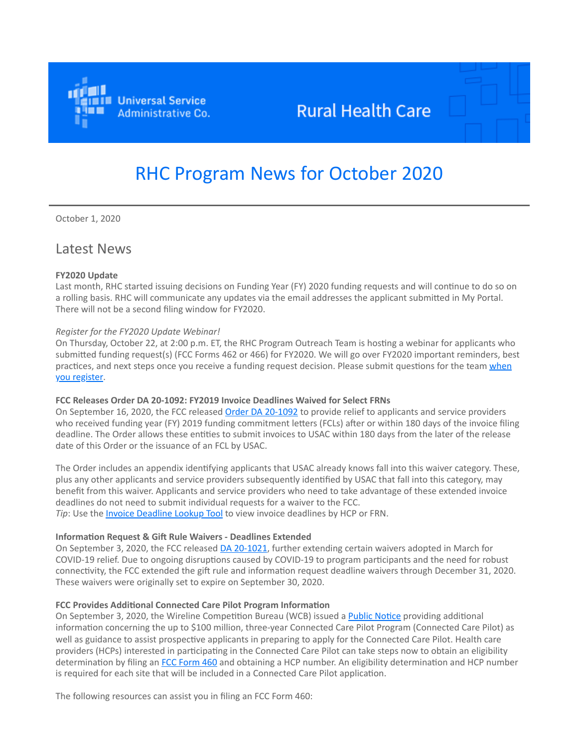

## **Rural Health Care**

# RHC Program News for October 2020

October 1, 2020

### Latest News

#### **FY2020 Update**

Last month, RHC started issuing decisions on Funding Year (FY) 2020 funding requests and will continue to do so on a rolling basis. RHC will communicate any updates via the email addresses the applicant submitted in My Portal. There will not be a second filing window for FY2020.

#### *Register for the FY2020 Update Webinar!*

On Thursday, October 22, at 2:00 p.m. ET, the RHC Program Outreach Team is hosting a webinar for applicants who submitted funding request(s) (FCC Forms 462 or 466) for FY2020. We will go over FY2020 important reminders, best [practices, and next steps once you receive a funding request decision. Please submit questions for the team when](https://click.outreach.usac.org/?qs=098103c78af094aa4756f50c0851afabb2a86523c37b566e71a1a4bfdf7887ecbf4bf40931cf15a498b46cdafef4eee07d3e6f79a5ddcc2d) you register.

#### **FCC Releases Order DA 20-1092: FY2019 Invoice Deadlines Waived for Select FRNs**

On September 16, 2020, the FCC released [Order DA 20-1092](https://click.outreach.usac.org/?qs=098103c78af094aa6de52ac592fc36b069777b729dadf0b79e09ec73c19083ca3219080b0b799f5c2d84445c038f23ca6e703ed3d96679e9) to provide relief to applicants and service providers who received funding year (FY) 2019 funding commitment letters (FCLs) after or within 180 days of the invoice filing deadline. The Order allows these entities to submit invoices to USAC within 180 days from the later of the release date of this Order or the issuance of an FCL by USAC.

The Order includes an appendix identifying applicants that USAC already knows fall into this waiver category. These, plus any other applicants and service providers subsequently identified by USAC that fall into this category, may benefit from this waiver. Applicants and service providers who need to take advantage of these extended invoice deadlines do not need to submit individual requests for a waiver to the FCC. Tip: Use the *Invoice Deadline Lookup Tool* to view invoice deadlines by HCP or FRN.

#### **Information Request & Gift Rule Waivers - Deadlines Extended**

On September 3, 2020, the FCC released **DA 20-1021**, further extending certain waivers adopted in March for COVID-19 relief. Due to ongoing disruptions caused by COVID-19 to program participants and the need for robust connectivity, the FCC extended the gift rule and information request deadline waivers through December 31, 2020. These waivers were originally set to expire on September 30, 2020.

#### **FCC Provides Additional Connected Care Pilot Program Information**

On September 3, 2020, the Wireline Competition Bureau (WCB) issued a [Public Notice](https://click.outreach.usac.org/?qs=098103c78af094aa7219f6249ef9f68481d02c0d0dd4935a7555df2b4bf16e94e0d5186930e31b53902de2d061340d2e36d57cf2142d8463) providing additional information concerning the up to \$100 million, three-year Connected Care Pilot Program (Connected Care Pilot) as well as guidance to assist prospective applicants in preparing to apply for the Connected Care Pilot. Health care providers (HCPs) interested in participating in the Connected Care Pilot can take steps now to obtain an eligibility determination by filing an [FCC Form 460](https://click.outreach.usac.org/?qs=098103c78af094aabd20d7d29ea5c025ae1489e01ee556a04fff2c0f8e7e55bde70f5a3d902076d478b6ee5e4b75fc1f700474d2c9ada0ba) and obtaining a HCP number. An eligibility determination and HCP number is required for each site that will be included in a Connected Care Pilot application.

The following resources can assist you in filing an FCC Form 460: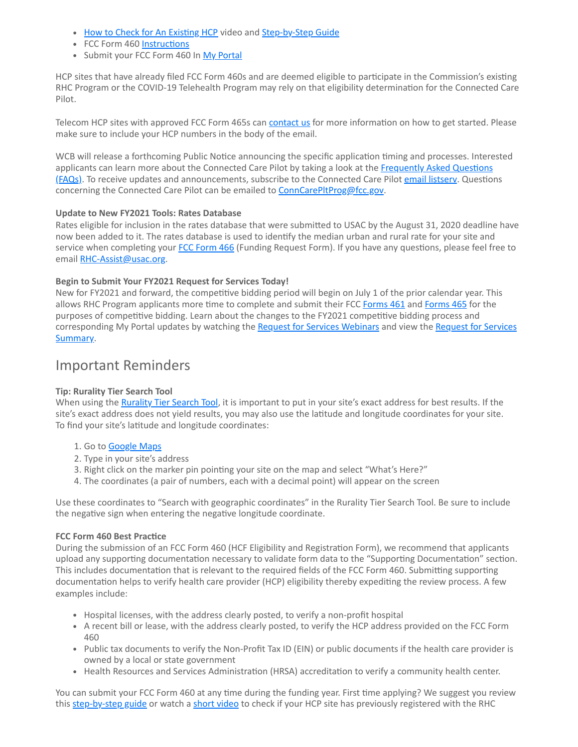- [How to Check for An Existing HCP](https://click.outreach.usac.org/?qs=098103c78af094aa441693c01e62902154044ff3218661e8a3aa36cc84cad0c64559dcbf26a7c67e5169946a3b553ccebbd7ab3cb4f902e6) video and [Step-by-Step Guide](https://click.outreach.usac.org/?qs=098103c78af094aa568567ab8801447d07dce1606a8916079ac312ef8e315882ae3e0b1c9abddd50477dc894d6f2c07b365a68ba6db2a8a0)
- FCC Form 460 [Instructions](https://click.outreach.usac.org/?qs=098103c78af094aa38058d80505f1eec2a386654ebf2057efae7835ab5f99016be29bfa1e46e736ade73edbbd6a9283c48d77bdb7000edfa)
- Submit your FCC Form 460 In [My Portal](https://click.outreach.usac.org/?qs=098103c78af094aa0762b01d55a584adfdda011abffc34517af5e7d69534f5e45b484ee952e87aba34197e27829f2444d48930fe98bbfcf1)

HCP sites that have already filed FCC Form 460s and are deemed eligible to participate in the Commission's existing RHC Program or the COVID-19 Telehealth Program may rely on that eligibility determination for the Connected Care Pilot.

Telecom HCP sites with approved FCC Form 465s can [contact us](mailto:RHC-Assist@usac.org?subject=Telecom%20FCC%20Form%20465%20for%20Connected%20Care%20Pilot) for more information on how to get started. Please make sure to include your HCP numbers in the body of the email.

WCB will release a forthcoming Public Notice announcing the specific application timing and processes. Interested [applicants can learn more about the Connected Care Pilot by taking a look at the Frequently Asked Questions](https://click.outreach.usac.org/?qs=098103c78af094aa25214a3b51b483fa064718349c5d670c6e4f8be6519684af8b7c7e072f7db6dfb7e1dcbac7d37fcebc1f7b8447d81efc) (FAQs). To receive updates and announcements, subscribe to the Connected Care Pilot email listsery. Questions concerning the Connected Care Pilot can be emailed to [ConnCarePltProg@fcc.gov](mailto:ConnCarePltProg@fcc.gov?subject=).

#### **Update to New FY2021 Tools: Rates Database**

Rates eligible for inclusion in the rates database that were submitted to USAC by the August 31, 2020 deadline have now been added to it. The rates database is used to identify the median urban and rural rate for your site and service when completing your [FCC Form 466](https://click.outreach.usac.org/?qs=098103c78af094aaf862b5252193045abdedc8264a99886320eb1ee0ce1d3391faadba1499ec6d5190b20a89129ba6ab4dce9bddc05b6ece) (Funding Request Form). If you have any questions, please feel free to email [RHC-Assist@usac.org](mailto:RHC-Assist@usac.org?subject=).

#### **Begin to Submit Your FY2021 Request for Services Today!**

New for FY2021 and forward, the competitive bidding period will begin on July 1 of the prior calendar year. This allows RHC Program applicants more time to complete and submit their FCC [Forms 461](https://click.outreach.usac.org/?qs=098103c78af094aa33a6be032021e5534a1d6e173f298651e2b49665378fa5c38b1f935057b0a06fe4da2989c8edaf8fe93565a4f6d49af8) and [Forms 465](https://click.outreach.usac.org/?qs=098103c78af094aa3445d0556be5fb3e24c5e9be79737e80d5ae11582bf028614943a1935bee9385d0de08f1e080aa32c9bf32dea2506a74) for the purposes of competitive bidding. Learn about the changes to the FY2021 competitive bidding process and [corresponding My Portal updates by watching the R](https://click.outreach.usac.org/?qs=098103c78af094aa403cb7d56595144c6c03916a86f44627d83454de214d61cc5b38273a2843d1bf2ada0dc6eef16b123e4f65bd58901fe7)[equest for Services Webinars](https://click.outreach.usac.org/?qs=098103c78af094aa583280c61c793e7455dd117bd07efda404ed7e1b2e7e48e25a8120b642235c0da60089df71752a1b578ed4755db6df30) and view the Request for Services Summary.

## Important Reminders

#### **Tip: Rurality Tier Search Tool**

When using the [Rurality Tier Search Tool,](https://click.outreach.usac.org/?qs=098103c78af094aacf448083751a5ce114e9e8fd2f6884fa12c577d4cdb57c52c5d1dca3ebffcba3554344c931685c6d2be5218130d7bf59) it is important to put in your site's exact address for best results. If the site's exact address does not yield results, you may also use the latitude and longitude coordinates for your site. To find your site's latitude and longitude coordinates:

- 1. Go to **Google Maps**
- 2. Type in your site's address
- 3. Right click on the marker pin pointing your site on the map and select "What's Here?"
- 4. The coordinates (a pair of numbers, each with a decimal point) will appear on the screen

Use these coordinates to "Search with geographic coordinates" in the Rurality Tier Search Tool. Be sure to include the negative sign when entering the negative longitude coordinate.

#### **FCC Form 460 Best Practice**

During the submission of an FCC Form 460 (HCF Eligibility and Registration Form), we recommend that applicants upload any supporting documentation necessary to validate form data to the "Supporting Documentation" section. This includes documentation that is relevant to the required fields of the FCC Form 460. Submitting supporting documentation helps to verify health care provider (HCP) eligibility thereby expediting the review process. A few examples include:

- Hospital licenses, with the address clearly posted, to verify a non-profit hospital
- A recent bill or lease, with the address clearly posted, to verify the HCP address provided on the FCC Form 460
- Public tax documents to verify the Non-Profit Tax ID (EIN) or public documents if the health care provider is owned by a local or state government
- Health Resources and Services Administration (HRSA) accreditation to verify a community health center.

You can submit your FCC Form 460 at any time during the funding year. First time applying? We suggest you review this [step-by-step guide](https://click.outreach.usac.org/?qs=098103c78af094aa568567ab8801447d07dce1606a8916079ac312ef8e315882ae3e0b1c9abddd50477dc894d6f2c07b365a68ba6db2a8a0) or watch a [short video](https://click.outreach.usac.org/?qs=098103c78af094aab0140be736d16f0f00f6d87d7920fe94d4942a4f10da5708afd0009acef75a9fafcd6c202d52f972be9417ac690765e4) to check if your HCP site has previously registered with the RHC